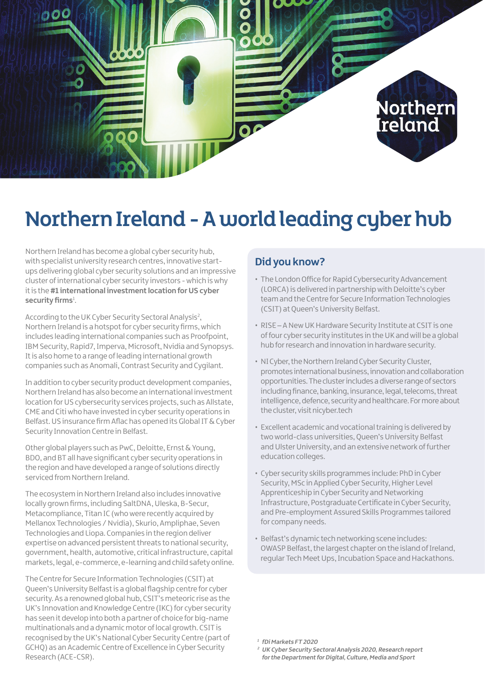

# Northern Ireland - A world leading cyber hub

Northern Ireland has become a global cyber security hub, with specialist university research centres, innovative startups delivering global cyber security solutions and an impressive cluster of international cyber security investors - which is why it is the **#1 international investment location for US cyber**  security firms<sup>1</sup>.

According to the UK Cyber Security Sectoral Analysis<sup>2</sup>, Northern Ireland is a hotspot for cyber security firms, which includes leading international companies such as Proofpoint, IBM Security, Rapid7, Imperva, Microsoft, Nvidia and Synopsys. It is also home to a range of leading international growth companies such as Anomali, Contrast Security and Cygilant.

In addition to cyber security product development companies, Northern Ireland has also become an international investment location for US cybersecurity services projects, such as Allstate, CME and Citi who have invested in cyber security operations in Belfast. US insurance firm Aflac has opened its Global IT & Cyber Security Innovation Centre in Belfast.

Other global players such as PwC, Deloitte, Ernst & Young, BDO, and BT all have significant cyber security operations in the region and have developed a range of solutions directly serviced from Northern Ireland.

The ecosystem in Northern Ireland also includes innovative locally grown firms, including SaltDNA, Uleska, B-Secur, Metacompliance, Titan IC (who were recently acquired by Mellanox Technologies / Nvidia), Skurio, Ampliphae, Seven Technologies and Liopa. Companies in the region deliver expertise on advanced persistent threats to national security, government, health, automotive, critical infrastructure, capital markets, legal, e-commerce, e-learning and child safety online.

The Centre for Secure Information Technologies (CSIT) at Queen's University Belfast is a global flagship centre for cyber security. As a renowned global hub, CSIT's meteoric rise as the UK's Innovation and Knowledge Centre (IKC) for cyber security has seen it develop into both a partner of choice for big-name multinationals and a dynamic motor of local growth. CSIT is recognised by the UK's National Cyber Security Centre (part of GCHQ) as an Academic Centre of Excellence in Cyber Security Research (ACE-CSR).

### **Did you know?**

- The London Office for Rapid Cybersecurity Advancement (LORCA) is delivered in partnership with Deloitte's cyber team and the Centre for Secure Information Technologies (CSIT) at Queen's University Belfast.
- RISE A New UK Hardware Security Institute at CSIT is one of four cyber security institutes in the UK and will be a global hub for research and innovation in hardware security.
- NI Cyber, the Northern Ireland Cyber Security Cluster, promotes international business, innovation and collaboration opportunities. The cluster includes a diverse range of sectors including finance, banking, insurance, legal, telecoms, threat intelligence, defence, security and healthcare. For more about the cluster, visit [nicyber.tech](http://www.nicyber.tech)
- Excellent academic and vocational training is delivered by two world-class universities, Queen's University Belfast and Ulster University, and an extensive network of further education colleges.
- Cyber security skills programmes include: PhD in Cyber Security, MSc in Applied Cyber Security, Higher Level Apprenticeship in Cyber Security and Networking Infrastructure, Postgraduate Certificate in Cyber Security, and Pre-employment Assured Skills Programmes tailored for company needs.
- Belfast's dynamic tech networking scene includes: OWASP Belfast, the largest chapter on the island of Ireland, regular Tech Meet Ups, Incubation Space and Hackathons.

**<sup>1</sup> fDi Markets FT 2020**

**<sup>2</sup> UK Cyber Security Sectoral Analysis 2020, Research report for the Department for Digital, Culture, Media and Sport**